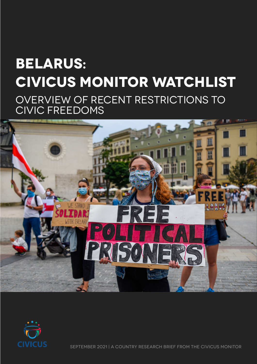# **BELARUS: CIVICUS Monitor Watchlist** Overview of recent restrictions to civic freedoms





SEPTember 2021 | A country research brief from the CIVICUS Monitor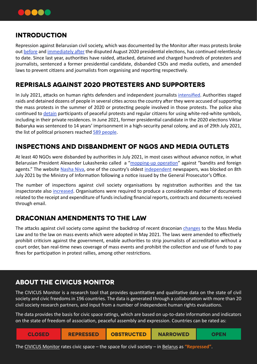

#### **INTRODUCTION**

Repression against Belarusian civil society, which was documented by the Monitor after mass protests broke out [before](https://monitor.civicus.org/updates/2020/08/11/opposition-candidates-and-supporters-persecuted-detained-ahead-elections/) and [immediately after](https://monitor.civicus.org/updates/2020/08/20/mass-protests-follow-disputed-election-results/) the disputed August 2020 presidential elections, has continued relentlessly to date. Since last year, authorities have raided, attacked, detained and charged hundreds of protesters and journalists, sentenced a former presidential candidate, disbanded CSOs and media outlets, and amended laws to prevent citizens and journalists from organising and reporting respectively.

## **Reprisals against 2020 protesters and supporters**

In July 2021, attacks on human rights defenders and independent journalists [intensified.](https://monitor.civicus.org/updates/2021/08/26/july-2021-black-weeks-belarusian-civil-society/) Authorities staged raids and detained dozens of people in several cities across the country after they were accused of supporting the mass protests in the summer of 2020 or protecting people involved in those protests. The police also continued to [detain](https://belsat.eu/en/news/03-07-2021-as-many-as-246-people-were-detained-in-belarus-in-june/) participants of peaceful protests and regular citizens for using white-red-white symbols, including in their private residences. In June 2021, former presidential candidate in the 2020 elections Viktar Babaryka was sentenced to 14 years' imprisonment in a high-security penal colony, and as of 29th July 2021, the list of political prisoners reached [589 people](https://prisoners.spring96.org/en).

# **Inspections and disbandment of NGOs and media outlets**

At least 40 NGOs were disbanded by authorities in July 2021, in most cases without advance notice, in what Belarusian President Alexander Lukashenko called a "[mopping-up operation](https://wbng.com/2021/07/23/belarus-shuts-more-civil-society-groups-in-wide-crackdown/)" against "bandits and foreign agents." The website [Nasha Niva,](https://www.facebook.com/politru/posts/5723299204407285) one of the country's oldest [independent](https://www.hrw.org/news/2021/07/15/belarus-unprecedented-raids-human-rights-defenders) newspapers, was blocked on 8th July 2021 by the Ministry of Information following a notice issued by the General Prosecutor's Office.

The number of inspections against civil society organisations by registration authorities and the tax inspectorate also [increased.](https://www.lawtrend.org/freedom-of-association/situatsiya-so-svobodoj-assotsiatsij-i-organizatsiyami-grazhdanskogo-obshhestva-respubliki-belarus-obzor-za-iyun-2021-g) Organisations were required to produce a considerable number of documents related to the receipt and expenditure of funds including financial reports, contracts and documents received through email.

# **Draconian amendments to the law**

The attacks against civil society come against the backdrop of recent draconian [changes](https://monitor.civicus.org/updates/2021/06/11/crackdown-journalists-continues-new-restrictive-regulations/) to the Mass Media Law and to the law on mass events which were adopted in May 2021. The laws were amended to effectively prohibit criticism against the government, enable authorities to strip journalists of accreditation without a court order, ban real-time news coverage of mass events and prohibit the collection and use of funds to pay fines for participation in protest rallies, among other restrictions.

## **about the civicus monitor**

The CIVICUS Monitor is a research tool that provides quantitative and qualitative data on the state of civil society and civic freedoms in 196 countries. The data is generated through a collaboration with more than 20 civil society research partners, and input from a number of independent human rights evaluations.

The data provides the basis for civic space ratings, which are based on up-to-date information and indicators on the state of freedom of association, peaceful assembly and expression. Countries can be rated as:

| <b>CLOSED</b> | <b>REPRESSED</b> | <b>OBSTRUCTED</b> | <b>NARROWED</b> | <b>OPEN</b> |
|---------------|------------------|-------------------|-----------------|-------------|
|---------------|------------------|-------------------|-----------------|-------------|

The CIVICUS Monitor rates civic space – the space for civil society – in <u>Belarus</u> as **"Repressed"**.